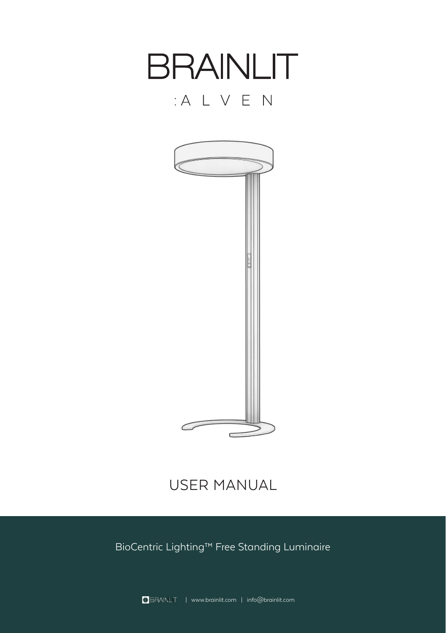

# USER MANUAL

BioCentric Lighting™ Free Standing Luminaire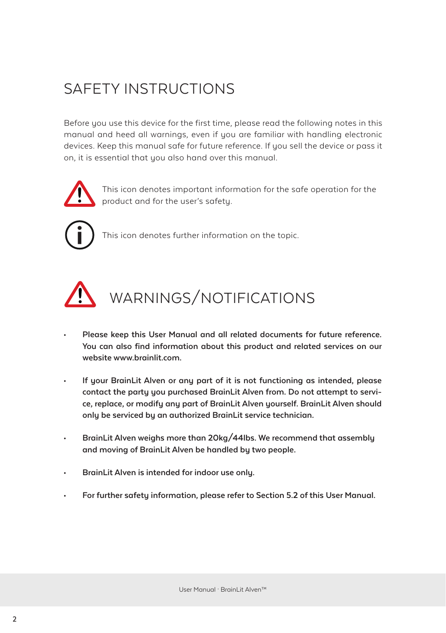# SAFETY INSTRUCTIONS

Before you use this device for the first time, please read the following notes in this manual and heed all warnings, even if you are familiar with handling electronic devices. Keep this manual safe for future reference. If you sell the device or pass it on, it is essential that you also hand over this manual.



This icon denotes important information for the safe operation for the product and for the user's safety.



This icon denotes further information on the topic.



# WARNINGS/NOTIFICATIONS

- **• Please keep this User Manual and all related documents for future reference. You can also find information about this product and related services on our website www.brainlit.com.**
- **• If your BrainLit Alven or any part of it is not functioning as intended, please contact the party you purchased BrainLit Alven from. Do not attempt to service, replace, or modify any part of BrainLit Alven yourself. BrainLit Alven should only be serviced by an authorized BrainLit service technician.**
- **• BrainLit Alven weighs more than 20kg/44lbs. We recommend that assembly and moving of BrainLit Alven be handled by two people.**
- **• BrainLit Alven is intended for indoor use only.**
- **• For further safety information, please refer to Section 5.2 of this User Manual.**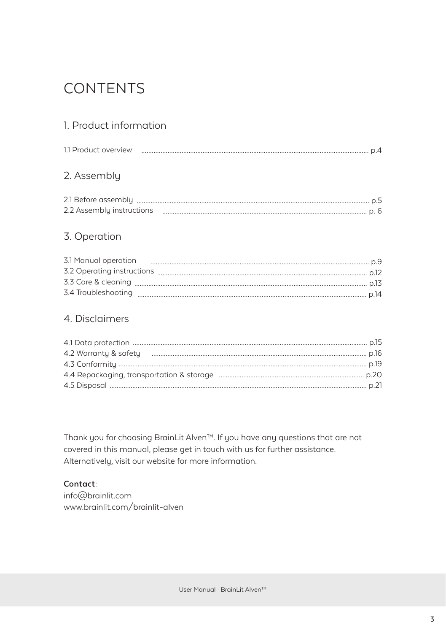# **CONTENTS**

### 1. Product information

| 1.1 Product overview |  |
|----------------------|--|
| 2. Assembly          |  |
|                      |  |
|                      |  |

### 3. Operation

| 3.1 Manual operation |  |
|----------------------|--|
|                      |  |
|                      |  |
|                      |  |

### 4. Disclaimers

Thank you for choosing BrainLit Alven<sup>™</sup>. If you have any questions that are not covered in this manual, please get in touch with us for further assistance. Alternatively, visit our website for more information.

#### Contact:

info@brainlit.com www.brainlit.com/brainlit-alven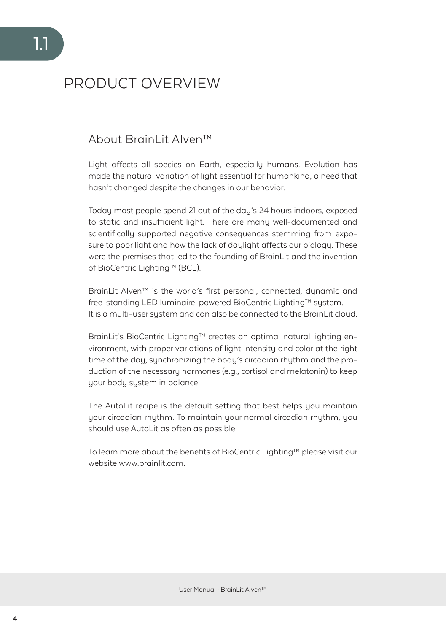# PRODUCT OVERVIEW

### About BrainLit Alven™

Light affects all species on Earth, especially humans. Evolution has made the natural variation of light essential for humankind, a need that hasn't changed despite the changes in our behavior.

Today most people spend 21 out of the day's 24 hours indoors, exposed to static and insufficient light. There are many well-documented and scientifically supported negative consequences stemming from exposure to poor light and how the lack of daylight affects our biology. These were the premises that led to the founding of BrainLit and the invention of BioCentric Lighting™ (BCL).

BrainLit Alven™ is the world's first personal, connected, dynamic and free-standing LED luminaire-powered BioCentric Lighting™ system. It is a multi-user sustem and can also be connected to the BrainLit cloud.

BrainLit's BioCentric Lighting™ creates an optimal natural lighting environment, with proper variations of light intensity and color at the right time of the day, synchronizing the body's circadian rhythm and the production of the necessary hormones (e.g., cortisol and melatonin) to keep your body system in balance.

The AutoLit recipe is the default setting that best helps you maintain your circadian rhythm. To maintain your normal circadian rhythm, you should use AutoLit as often as possible.

To learn more about the benefits of BioCentric Lighting™ please visit our website www.brainlit.com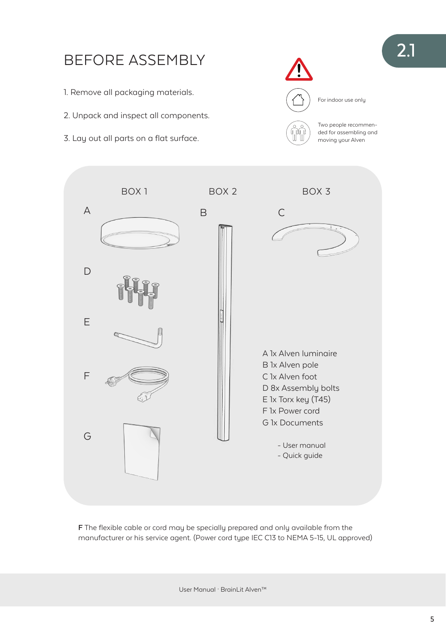

**F** The flexible cable or cord may be specially prepared and only available from the manufacturer or his service agent. (Power cord type IEC C13 to NEMA 5-15, UL approved)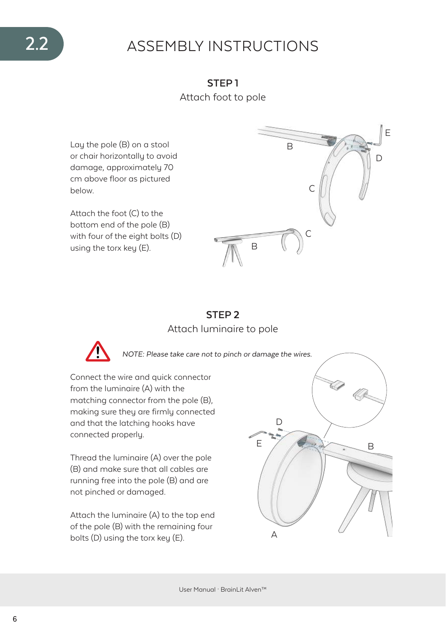# 2.2 ASSEMBLY INSTRUCTIONS

**STEP 1** Attach foot to pole

Lay the pole (B) on a stool or chair horizontally to avoid damage, approximately 70 cm above floor as pictured below.

Attach the foot (C) to the bottom end of the pole (B) with four of the eight bolts (D) using the torx key (E).



### **STEP 2** Attach luminaire to pole



*NOTE: Please take care not to pinch or damage the wires.*

Connect the wire and quick connector from the luminaire (A) with the matching connector from the pole (B), making sure they are firmly connected and that the latching hooks have connected properly.

Thread the luminaire (A) over the pole (B) and make sure that all cables are running free into the pole (B) and are not pinched or damaged.

Attach the luminaire (A) to the top end of the pole (B) with the remaining four bolts (D) using the torx key (E).

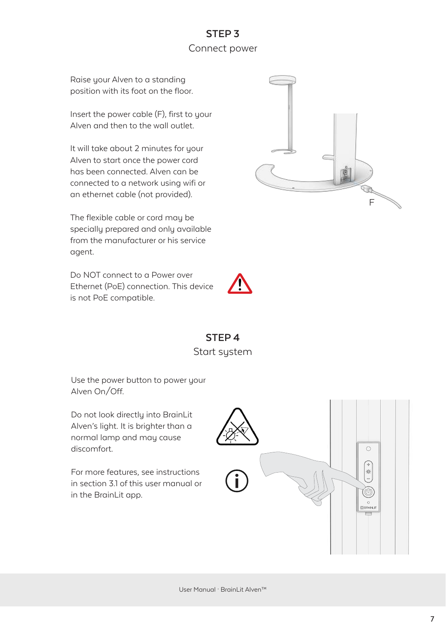## **STEP 3** Connect power

Raise your Alven to a standing position with its foot on the floor.

Insert the power cable (F), first to your Alven and then to the wall outlet.

It will take about 2 minutes for your Alven to start once the power cord has been connected. Alven can be connected to a network using wifi or an ethernet cable (not provided).

The flexible cable or cord may be specially prepared and only available from the manufacturer or his service agent.

Do NOT connect to a Power over Ethernet (PoE) connection. This device is not PoE compatible.





**STEP 4** Start sustem

Use the power button to power your Alven On/Off.

Do not look directly into BrainLit Alven's light. It is brighter than a normal lamp and may cause discomfort.

For more features, see instructions in section 3.1 of this user manual or in the BrainLit app.



User Manual · BrainLit Alven™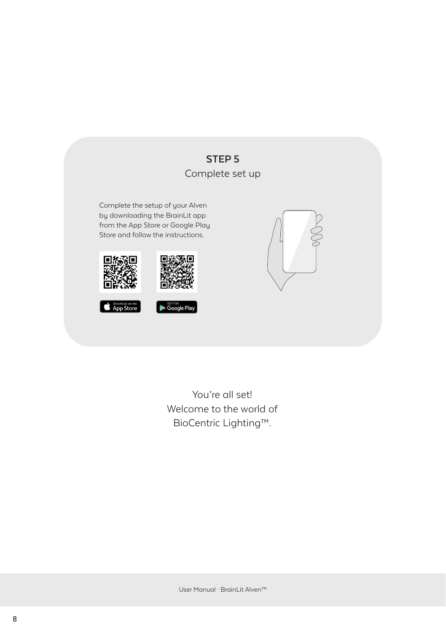

You're all set! Welcome to the world of BioCentric Lighting™.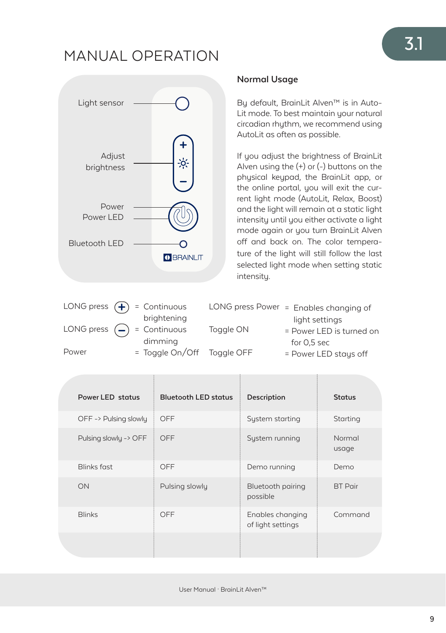# MANUAL OPERATION



# **Normal Usage**

By default, BrainLit Alven™ is in Auto-Lit mode. To best maintain your natural circadian rhythm, we recommend using AutoLit as often as possible.

Alven using the  $(+)$  or  $(-)$  buttons on the If you adjust the brightness of BrainLit physical keypad, the BrainLit app, or the online portal, you will exit the current light mode (AutoLit, Relax, Boost) and the light will remain at a static light intensity until you either activate a light mode again or you turn BrainLit Alven off and back on. The color temperature of the light will still follow the last selected light mode when setting static intensity.

|       | LONG press $\left( \bigoplus \right)$ = Continuous                   |           | LONG press Power = Enables changing of |
|-------|----------------------------------------------------------------------|-----------|----------------------------------------|
|       | brightening                                                          |           | light settings                         |
|       | LONG press $\left(\begin{matrix} - \end{matrix}\right)$ = Continuous | Toggle ON | = Power LED is turned on               |
|       | dimming                                                              |           | for $0.5$ sec                          |
| Power | = Toggle On/Off Toggle OFF                                           |           | = Power LED stays off                  |

| Power LED status      | <b>Bluetooth LED status</b> | Description                           | <b>Status</b>   |
|-----------------------|-----------------------------|---------------------------------------|-----------------|
| OFF -> Pulsing slowly | OFF                         | System starting                       | Starting        |
| Pulsing slowly -> OFF | OFF                         | System running                        | Normal<br>usage |
| <b>Blinks fast</b>    | OFF                         | Demo running                          | Demo            |
| ON                    | Pulsing slowly              | Bluetooth pairing<br>possible         | <b>BT</b> Pair  |
| <b>Blinks</b>         | OFF                         | Enables changing<br>of light settings | Command         |
|                       |                             |                                       |                 |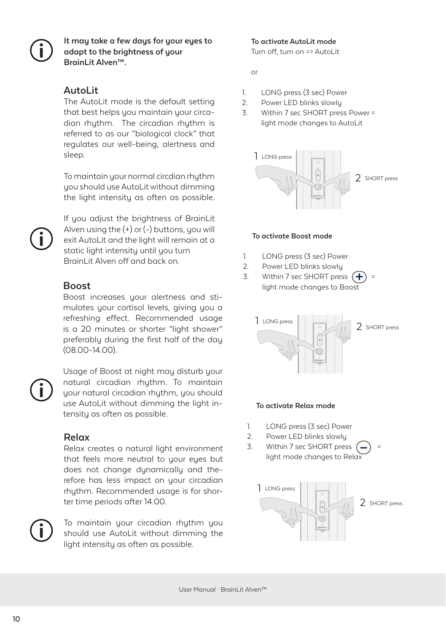**It may take a few days for your eyes to adapt to the brightness of your BrainLit Alven™.**

### **AutoLit**

The AutoLit mode is the default setting that best helps you maintain your circadian rhythm. The circadian rhythm is referred to as our "biological clock" that regulates our well-being, alertness and sleep.

To maintain your normal circdian rhythm you should use AutoLit without dimming god should doe? (dto Lit miniodit dimiting



If you adjust the brightness of BrainLit Alven using the (+) or (-) buttons, you will exit AutoLit and the light will remain at a static light intensity until you turn BrainLit Alven off and back on.

### **Boost**

Boost increases your alertness and stimulates your cortisol levels, giving you a refreshing effect. Recommended usage is a 20 minutes or shorter "light shower" preferably during the first half of the day (08.00-14.00).

Usage of Boost at night may disturb your natural circadian rhythm. To maintain your natural circadian rhythm, you should use AutoLit without dimming the light intensity as often as possible.

### **Relax**

Relax creates a natural light environment that feels more neutral to your eyes but does not change dynamically and therefore has less impact on your circadian rhuthm. Recommended usage is for shorter time periods after 14.00.

To maintain your circadian rhuthm you should use AutoLit without dimming the light intensity as often as possible.

**To activate AutoLit mode** Turn off, turn on => AutoLit

or

- 1. LONG press (3 sec) Power
- 2. Power LED blinks slowly
- 3. Within 7 sec SHORT press Power = light mode changes to AutoLit



#### **To activate Boost mode**

- 1. LONG press (3 sec) Power
- 2. Power LED blinks slowly
- 3. Within 7 sec SHORT press  $\left( +\right)$ light mode changes to Boost



#### **To activate Relax mode**

- 1. LONG press (3 sec) Power
- 2. Power LED blinks slowly
- 3. Within 7 sec SHORT press light mode changes to Relax

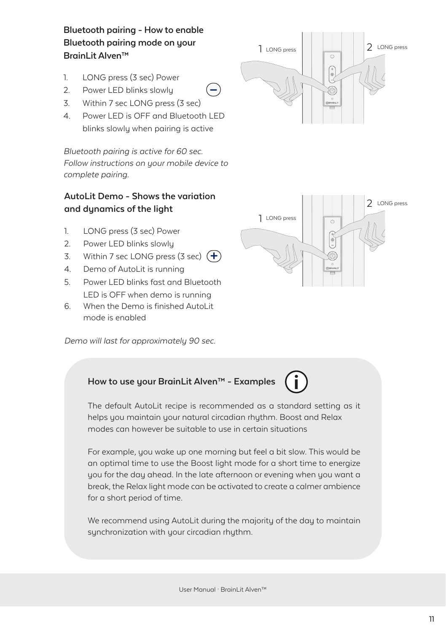### **Bluetooth pairing - How to enable Bluetooth pairing mode on your BrainLit Alven™**

- 1. LONG press (3 sec) Power
- 2. Power LED blinks slowly
- 3. Within 7 sec LONG press (3 sec)
- 4. Power LED is OFF and Bluetooth LED blinks slowly when pairing is active

Bluetooth pairing is active for 60 sec. Follow instructions on your mobile device to complete pairing.

#### **AutoLit Demo - Shows the variation and dynamics of the light**

- 1. LONG press (3 sec) Power
- 2. Power LED blinks slowly
- 3. Within 7 sec LONG press (3 sec)  $\left( + \right)$
- 4. Demo of AutoLit is running
- 5. Power LED blinks fast and Bluetooth LED is OFF when demo is running
- 6. When the Demo is finished AutoLit mode is enabled

Demo will last for approximately 90 sec.





### **How to use your BrainLit Alven™ - Examples**

The default AutoLit recipe is recommended as a standard setting as it helps you maintain your natural circadian rhythm. Boost and Relax modes can however be suitable to use in certain situations

 $=$ 

For example, you wake up one morning but feel a bit slow. This would be an optimal time to use the Boost light mode for a short time to energize you for the day ahead. In the late afternoon or evening when you want a break, the Relax light mode can be activated to create a calmer ambience for a short period of time.

We recommend using AutoLit during the majority of the day to maintain synchronization with your circadian rhythm.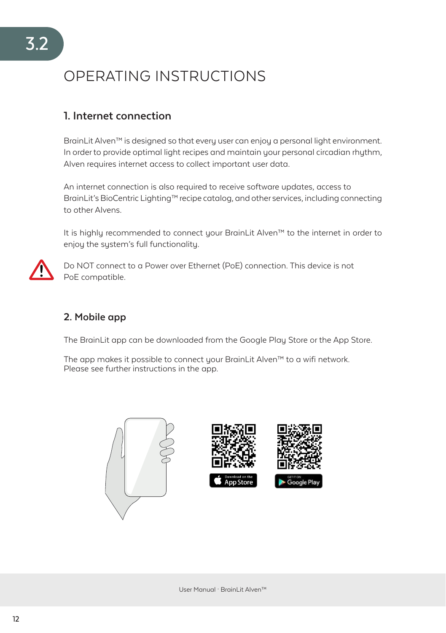# OPERATING INSTRUCTIONS

### **1. Internet connection**

BrainLit Alven™ is designed so that every user can enjoy a personal light environment. In order to provide optimal light recipes and maintain your personal circadian rhythm, Alven requires internet access to collect important user data.

An internet connection is also required to receive software updates, access to BrainLit's BioCentric Lighting™ recipe catalog, and other services, including connecting to other Alvens.

It is highly recommended to connect your BrainLit Alven™ to the internet in order to enjoy the system's full functionality.



Do NOT connect to a Power over Ethernet (PoE) connection. This device is not PoE compatible.

### **2. Mobile app**

The BrainLit app can be downloaded from the Google Play Store or the App Store.

The app makes it possible to connect your BrainLit Alven™ to a wifi network. Please see further instructions in the app.

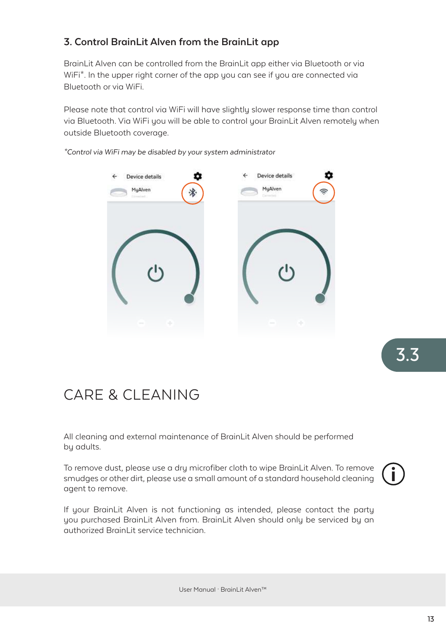### **3. Control BrainLit Alven from the BrainLit app**

BrainLit Alven can be controlled from the BrainLit app either via Bluetooth or via WiFi\*. In the upper right corner of the app you can see if you are connected via Bluetooth or via WiFi.

Please note that control via WiFi will have slightly slower response time than control via Bluetooth. Via WiFi you will be able to control your BrainLit Alven remotely when outside Bluetooth coverage.

*\*Control via WiFi may be disabled by your system administrator*



3.3

# CARE & CLEANING

All cleaning and external maintenance of BrainLit Alven should be performed by adults.

To remove dust, please use a dry microfiber cloth to wipe BrainLit Alven. To remove smudges or other dirt, please use a small amount of a standard household cleaning agent to remove.



If your BrainLit Alven is not functioning as intended, please contact the party you purchased BrainLit Alven from. BrainLit Alven should only be serviced by an authorized BrainLit service technician.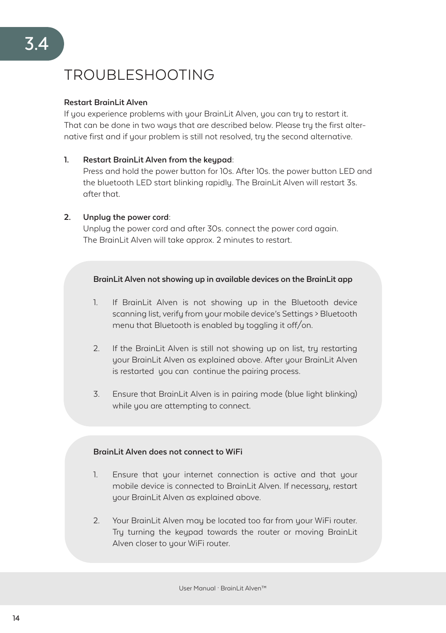# TROUBLESHOOTING

#### **Restart BrainLit Alven**

If you experience problems with your BrainLit Alven, you can try to restart it. That can be done in two ways that are described below. Please try the first alternative first and if your problem is still not resolved, try the second alternative.

#### **1. Restart BrainLit Alven from the keypad:**

Press and hold the power button for 10s. After 10s. the power button LED and the bluetooth LED start blinking rapidly. The BrainLit Alven will restart 3s. after that.

#### **2. Unplug the power cord:**

Unplug the power cord and after 30s. connect the power cord again. The BrainLit Alven will take approx. 2 minutes to restart.

#### **BrainLit Alven not showing up in available devices on the BrainLit app**

- 1. If BrainLit Alven is not showing up in the Bluetooth device scanning list, verify from your mobile device's Settings > Bluetooth menu that Bluetooth is enabled by toggling it off/on.
- 2. If the BrainLit Alven is still not showing up on list, tru restarting your BrainLit Alven as explained above. After your BrainLit Alven is restarted you can continue the pairing process.
- 3. Ensure that BrainLit Alven is in pairing mode (blue light blinking) while you are attempting to connect.

#### **BrainLit Alven does not connect to WiFi**

- 1. Ensure that your internet connection is active and that your mobile device is connected to BrainLit Alven. If necessary, restart your BrainLit Alven as explained above.
- 2. Your BrainLit Alven may be located too far from your WiFi router. Try turning the keypad towards the router or moving BrainLit Alven closer to your WiFi router.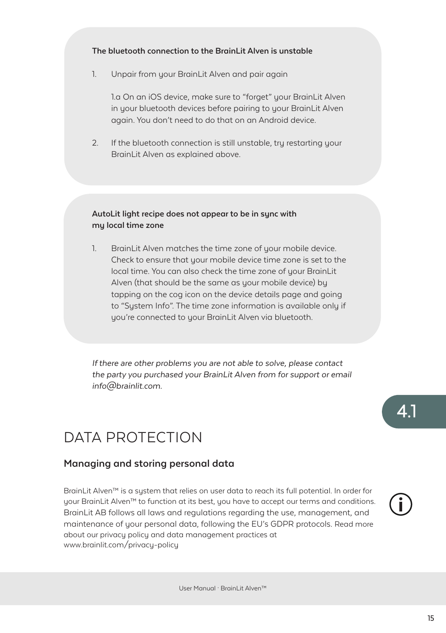#### **The bluetooth connection to the BrainLit Alven is unstable**

1. Unpair from your BrainLit Alven and pair again

1.a On an iOS device, make sure to "forget" your BrainLit Alven in your bluetooth devices before pairing to your BrainLit Alven again. You don't need to do that on an Android device.

2. If the bluetooth connection is still unstable, tru restarting your BrainLit Alven as explained above.

#### **AutoLit light recipe does not appear to be in sync with my local time zone**

1. BrainLit Alven matches the time zone of your mobile device. Check to ensure that your mobile device time zone is set to the local time. You can also check the time zone of your BrainLit Alven (that should be the same as your mobile device) by tapping on the cog icon on the device details page and going to "System Info". The time zone information is available only if you're connected to your BrainLit Alven via bluetooth.

*If there are other problems you are not able to solve, please contact the party you purchased your BrainLit Alven from for support or email info@brainlit.com.*

# DATA PROTECTION

#### **Managing and storing personal data**

BrainLit Alven™ is a sustem that relies on user data to reach its full potential. In order for your BrainLit Alven™ to function at its best, you have to accept our terms and conditions. BrainLit AB follows all laws and regulations regarding the use, management, and maintenance of your personal data, following the EU's GDPR protocols. Read more about our privacy policy and data management practices at www.brainlit.com/privacy-policy



4.1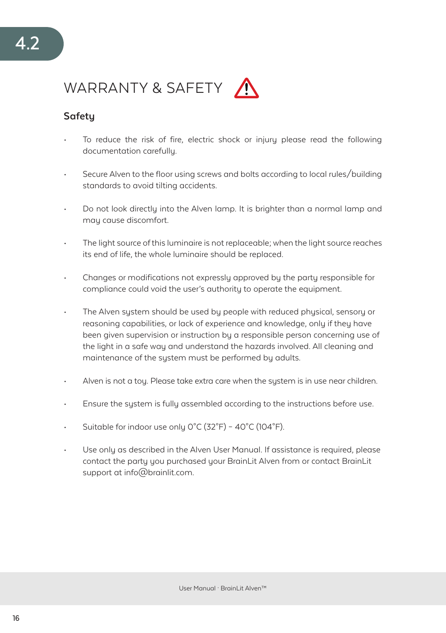# WARRANTY & SAFETY

### **Safety**

- To reduce the risk of fire, electric shock or injury please read the following documentation carefully.
- Secure Alven to the floor using screws and bolts according to local rules/building standards to avoid tilting accidents.
- Do not look directly into the Alven lamp. It is brighter than a normal lamp and may cause discomfort.
- The light source of this luminaire is not replaceable; when the light source reaches its end of life, the whole luminaire should be replaced.
- Changes or modifications not expressly approved by the party responsible for compliance could void the user's authority to operate the equipment.
- The Alven system should be used by people with reduced physical, sensory or reasoning capabilities, or lack of experience and knowledge, only if they have been given supervision or instruction by a responsible person concerning use of the light in a safe way and understand the hazards involved. All cleaning and maintenance of the sustem must be performed by adults.
- Alven is not a toy. Please take extra care when the system is in use near children.
- Ensure the system is fully assembled according to the instructions before use.
- Suitable for indoor use only 0°C (32°F) 40°C (104°F).
- Use only as described in the Alven User Manual. If assistance is required, please contact the party you purchased your BrainLit Alven from or contact BrainLit support at info@brainlit.com.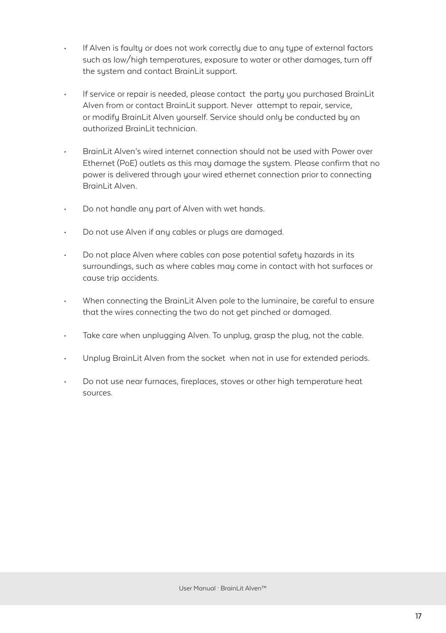- If Alven is faulty or does not work correctly due to any type of external factors such as low/high temperatures, exposure to water or other damages, turn off the sustem and contact BrainLit support.
- If service or repair is needed, please contact the party you purchased BrainLit Alven from or contact BrainLit support. Never attempt to repair, service, or modify BrainLit Alven yourself. Service should only be conducted by an authorized BrainLit technician.
- BrainLit Alven's wired internet connection should not be used with Power over Ethernet (PoE) outlets as this may damage the system. Please confirm that no power is delivered through your wired ethernet connection prior to connecting BrainLit Alven
- Do not handle any part of Alven with wet hands.
- Do not use Alven if any cables or plugs are damaged.
- Do not place Alven where cables can pose potential safety hazards in its surroundings, such as where cables may come in contact with hot surfaces or cause trip accidents.
- When connecting the BrainLit Alven pole to the luminaire, be careful to ensure that the wires connecting the two do not get pinched or damaged.
- Take care when unplugging Alven. To unplug, grasp the plug, not the cable.
- Unplug BrainLit Alven from the socket when not in use for extended periods.
- Do not use near furnaces, fireplaces, stoves or other high temperature heat sources.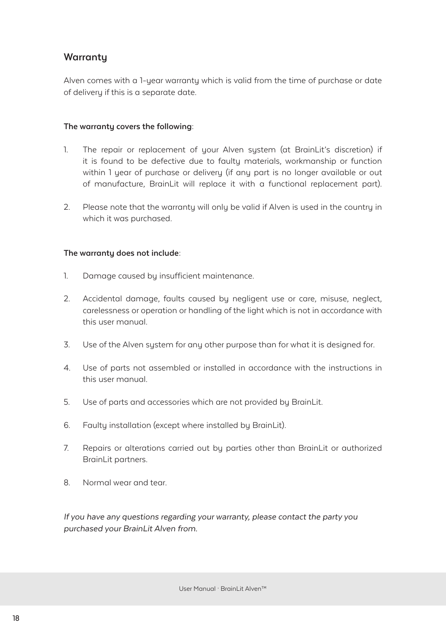#### **Warranty**

Alven comes with a 1-year warranty which is valid from the time of purchase or date of delivery if this is a separate date.

#### **The warranty covers the following:**

- 1. The repair or replacement of your Alven system (at BrainLit's discretion) if it is found to be defective due to faulty materials, workmanship or function within 1 year of purchase or delivery (if any part is no longer available or out of manufacture, BrainLit will replace it with a functional replacement part).
- 2. Please note that the warranty will only be valid if Alven is used in the country in which it was purchased.

#### **The warranty does not include:**

- 1. Damage caused by insufficient maintenance.
- 2. Accidental damage, faults caused by negligent use or care, misuse, neglect, carelessness or operation or handling of the light which is not in accordance with this user manual.
- 3. Use of the Alven system for any other purpose than for what it is designed for.
- 4. Use of parts not assembled or installed in accordance with the instructions in this user manual.
- 5. Use of parts and accessories which are not provided by BrainLit.
- 6. Faulty installation (except where installed by BrainLit).
- 7. Repairs or alterations carried out by parties other than BrainLit or authorized BrainLit partners.
- 8. Normal wear and tear.

*If you have any questions regarding your warranty, please contact the party you purchased your BrainLit Alven from.*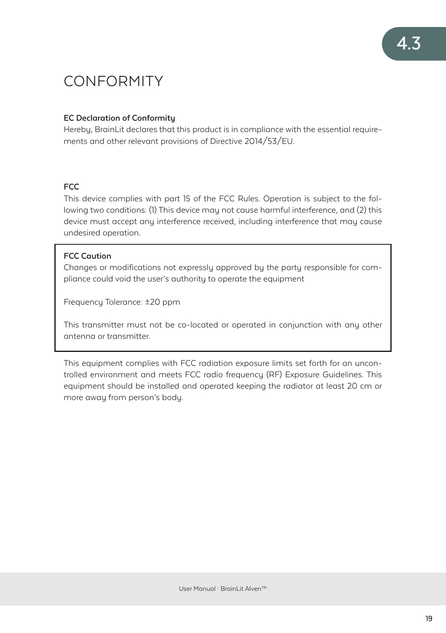# **CONFORMITY**

#### **EC Declaration of Conformity**

Hereby, BrainLit declares that this product is in compliance with the essential requirements and other relevant provisions of Directive 2014/53/EU.

#### **FCC**

This device complies with part 15 of the FCC Rules. Operation is subject to the following two conditions: (1) This device may not cause harmful interference, and (2) this device must accept any interference received, including interference that may cause undesired operation.

#### **FCC Caution**

Changes or modifications not expressly approved by the party responsible for compliance could void the user's authority to operate the equipment

Frequency Tolerance: ±20 ppm

This transmitter must not be co-located or operated in conjunction with any other antenna or transmitter.

This equipment complies with FCC radiation exposure limits set forth for an uncontrolled environment and meets FCC radio frequency (RF) Exposure Guidelines. This equipment should be installed and operated keeping the radiator at least 20 cm or more away from person's body.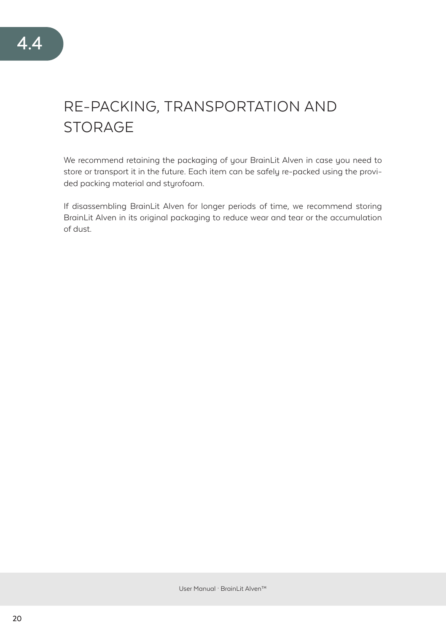# RE-PACKING, TRANSPORTATION AND **STORAGE**

We recommend retaining the packaging of your BrainLit Alven in case you need to store or transport it in the future. Each item can be safely re-packed using the provided packing material and styrofoam.

If disassembling BrainLit Alven for longer periods of time, we recommend storing BrainLit Alven in its original packaging to reduce wear and tear or the accumulation of dust.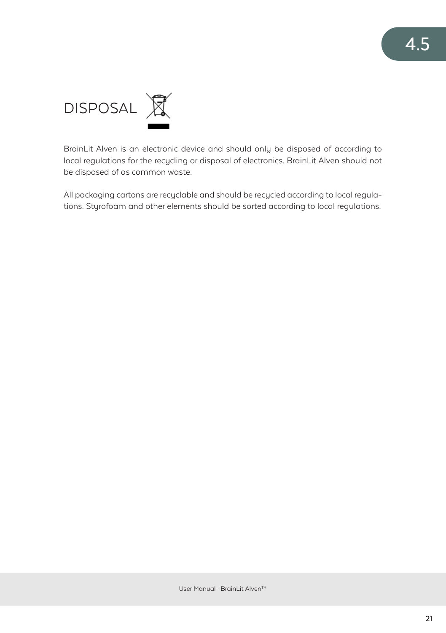

BrainLit Alven is an electronic device and should only be disposed of according to local regulations for the recycling or disposal of electronics. BrainLit Alven should not be disposed of as common waste.

All packaging cartons are recyclable and should be recycled according to local regulations. Styrofoam and other elements should be sorted according to local regulations.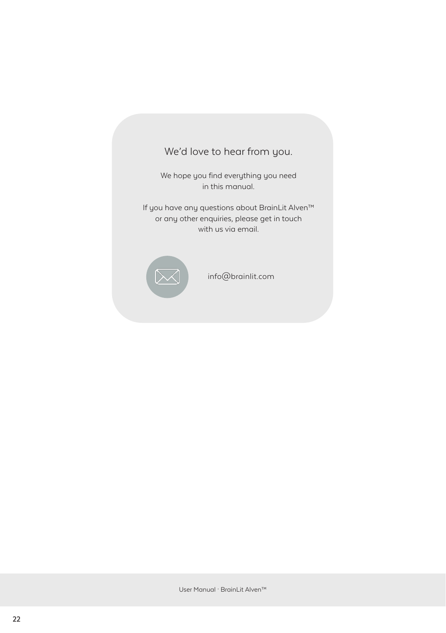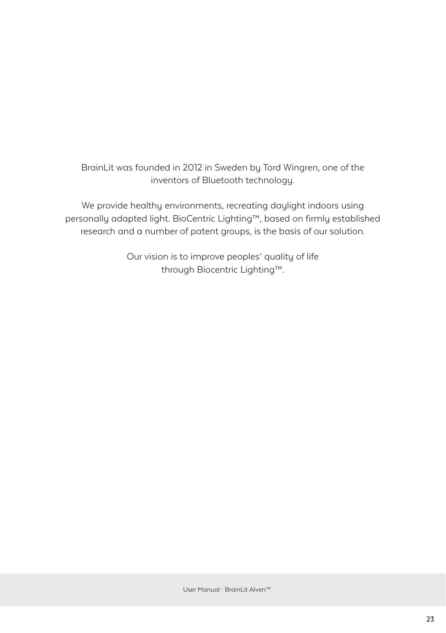BrainLit was founded in 2012 in Sweden by Tord Wingren, one of the inventors of Bluetooth technology.

We provide healthy environments, recreating daylight indoors using personally adapted light. BioCentric Lighting™, based on firmly established research and a number of patent groups, is the basis of our solution.

> Our vision is to improve peoples' quality of life through Biocentric Lighting™.